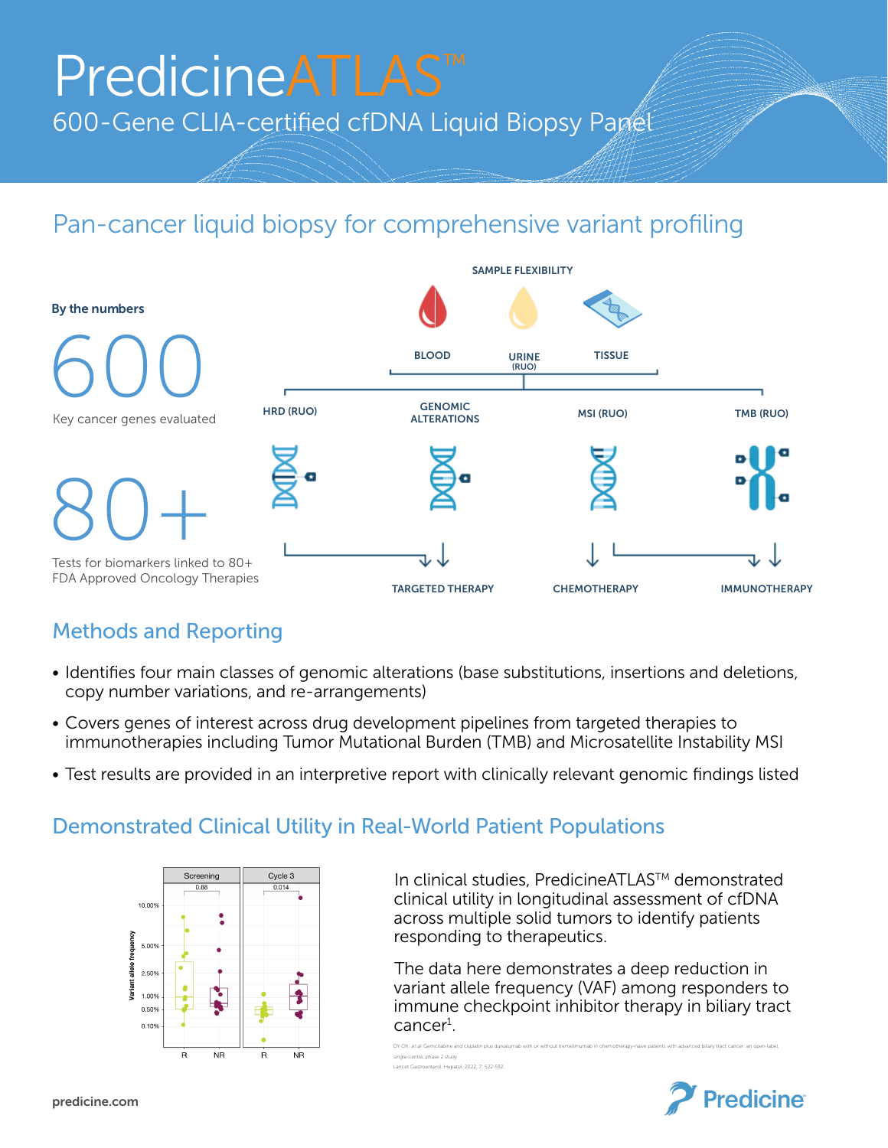# PredicineATLAS<sup>™</sup> 600-Gene CLIA-certified cfDNA Liquid Biopsy Panet

## Pan-cancer liquid biopsy for comprehensive variant profiling



#### Methods and Reporting

- Identifies four main classes of genomic alterations (base substitutions, insertions and deletions, copy number variations, and re-arrangements)
- Covers genes of interest across drug development pipelines from targeted therapies to immunotherapies including Tumor Mutational Burden (TMB) and Microsatellite Instability MSI
- Test results are provided in an interpretive report with clinically relevant genomic findings listed

#### Demonstrated Clinical Utility in Real-World Patient Populations



In clinical studies, PredicineATLAS™ demonstrated clinical utility in longitudinal assessment of cfDNA across multiple solid tumors to identify patients responding to therapeutics.

 The data here demonstrates a deep reduction in variant allele frequency (VAF) among responders to immune checkpoint inhibitor therapy in biliary tract cancer<sup>1</sup>.

DY Oh, et al. Gemcitabine and cisplatin plus durvalumab with or without tremelimumab in chemotherapy-naive patients with advanced biliary tract cancer: an open-label, single-centre, phase 2 study Lancet Gastroenterol. Hepatol. 2022; 7: 522-532.